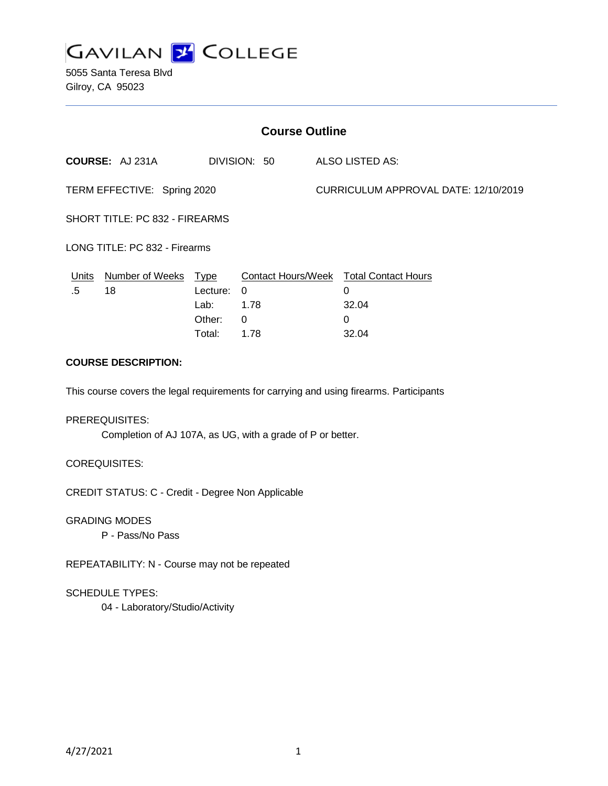

5055 Santa Teresa Blvd Gilroy, CA 95023

| <b>Course Outline</b>          |                                        |                                                     |                                          |                                      |                                                                    |
|--------------------------------|----------------------------------------|-----------------------------------------------------|------------------------------------------|--------------------------------------|--------------------------------------------------------------------|
|                                | <b>COURSE: AJ 231A</b><br>DIVISION: 50 |                                                     | ALSO LISTED AS:                          |                                      |                                                                    |
| TERM EFFECTIVE: Spring 2020    |                                        |                                                     |                                          | CURRICULUM APPROVAL DATE: 12/10/2019 |                                                                    |
| SHORT TITLE: PC 832 - FIREARMS |                                        |                                                     |                                          |                                      |                                                                    |
| LONG TITLE: PC 832 - Firearms  |                                        |                                                     |                                          |                                      |                                                                    |
| <u>Units</u><br>.5             | Number of Weeks<br>18                  | <u>Type</u><br>Lecture:<br>Lab:<br>Other:<br>Total: | $\Omega$<br>1.78<br>$\mathbf{0}$<br>1.78 |                                      | Contact Hours/Week Total Contact Hours<br>0<br>32.04<br>0<br>32.04 |
| <b>COURSE DESCRIPTION:</b>     |                                        |                                                     |                                          |                                      |                                                                    |

This course covers the legal requirements for carrying and using firearms. Participants

PREREQUISITES:

Completion of AJ 107A, as UG, with a grade of P or better.

COREQUISITES:

CREDIT STATUS: C - Credit - Degree Non Applicable

GRADING MODES

P - Pass/No Pass

REPEATABILITY: N - Course may not be repeated

SCHEDULE TYPES:

04 - Laboratory/Studio/Activity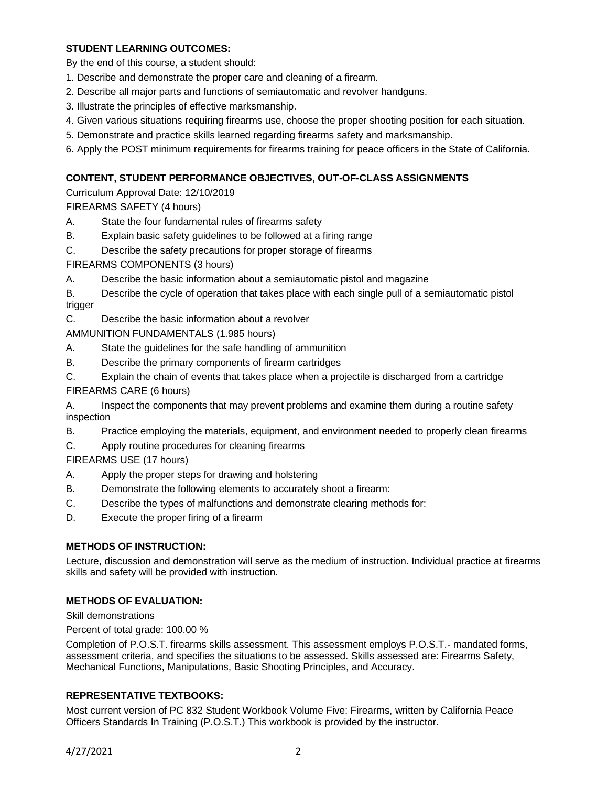## **STUDENT LEARNING OUTCOMES:**

By the end of this course, a student should:

- 1. Describe and demonstrate the proper care and cleaning of a firearm.
- 2. Describe all major parts and functions of semiautomatic and revolver handguns.
- 3. Illustrate the principles of effective marksmanship.
- 4. Given various situations requiring firearms use, choose the proper shooting position for each situation.
- 5. Demonstrate and practice skills learned regarding firearms safety and marksmanship.
- 6. Apply the POST minimum requirements for firearms training for peace officers in the State of California.

# **CONTENT, STUDENT PERFORMANCE OBJECTIVES, OUT-OF-CLASS ASSIGNMENTS**

Curriculum Approval Date: 12/10/2019

FIREARMS SAFETY (4 hours)

- A. State the four fundamental rules of firearms safety
- B. Explain basic safety guidelines to be followed at a firing range
- C. Describe the safety precautions for proper storage of firearms

FIREARMS COMPONENTS (3 hours)

A. Describe the basic information about a semiautomatic pistol and magazine

B. Describe the cycle of operation that takes place with each single pull of a semiautomatic pistol trigger

C. Describe the basic information about a revolver

AMMUNITION FUNDAMENTALS (1.985 hours)

- A. State the guidelines for the safe handling of ammunition
- B. Describe the primary components of firearm cartridges
- C. Explain the chain of events that takes place when a projectile is discharged from a cartridge

FIREARMS CARE (6 hours)

A. Inspect the components that may prevent problems and examine them during a routine safety inspection

- B. Practice employing the materials, equipment, and environment needed to properly clean firearms
- C. Apply routine procedures for cleaning firearms

FIREARMS USE (17 hours)

- A. Apply the proper steps for drawing and holstering
- B. Demonstrate the following elements to accurately shoot a firearm:
- C. Describe the types of malfunctions and demonstrate clearing methods for:
- D. Execute the proper firing of a firearm

### **METHODS OF INSTRUCTION:**

Lecture, discussion and demonstration will serve as the medium of instruction. Individual practice at firearms skills and safety will be provided with instruction.

# **METHODS OF EVALUATION:**

Skill demonstrations

Percent of total grade: 100.00 %

Completion of P.O.S.T. firearms skills assessment. This assessment employs P.O.S.T.- mandated forms, assessment criteria, and specifies the situations to be assessed. Skills assessed are: Firearms Safety, Mechanical Functions, Manipulations, Basic Shooting Principles, and Accuracy.

### **REPRESENTATIVE TEXTBOOKS:**

Most current version of PC 832 Student Workbook Volume Five: Firearms, written by California Peace Officers Standards In Training (P.O.S.T.) This workbook is provided by the instructor.